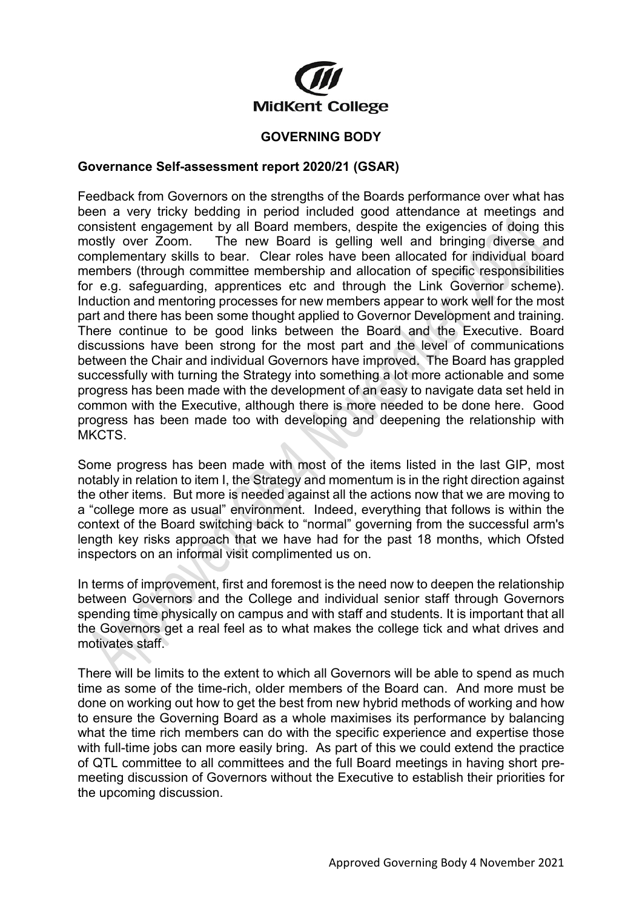

## **GOVERNING BODY**

## **Governance Self-assessment report 2020/21 (GSAR)**

Feedback from Governors on the strengths of the Boards performance over what has been a very tricky bedding in period included good attendance at meetings and consistent engagement by all Board members, despite the exigencies of doing this mostly over Zoom. The new Board is gelling well and bringing diverse and The new Board is gelling well and bringing diverse and complementary skills to bear. Clear roles have been allocated for individual board members (through committee membership and allocation of specific responsibilities for e.g. safeguarding, apprentices etc and through the Link Governor scheme). Induction and mentoring processes for new members appear to work well for the most part and there has been some thought applied to Governor Development and training. There continue to be good links between the Board and the Executive. Board discussions have been strong for the most part and the level of communications between the Chair and individual Governors have improved. The Board has grappled successfully with turning the Strategy into something a lot more actionable and some progress has been made with the development of an easy to navigate data set held in common with the Executive, although there is more needed to be done here. Good progress has been made too with developing and deepening the relationship with MKCTS.

Some progress has been made with most of the items listed in the last GIP, most notably in relation to item I, the Strategy and momentum is in the right direction against the other items. But more is needed against all the actions now that we are moving to a "college more as usual" environment. Indeed, everything that follows is within the context of the Board switching back to "normal" governing from the successful arm's length key risks approach that we have had for the past 18 months, which Ofsted inspectors on an informal visit complimented us on.

In terms of improvement, first and foremost is the need now to deepen the relationship between Governors and the College and individual senior staff through Governors spending time physically on campus and with staff and students. It is important that all the Governors get a real feel as to what makes the college tick and what drives and motivates staff.

There will be limits to the extent to which all Governors will be able to spend as much time as some of the time-rich, older members of the Board can. And more must be done on working out how to get the best from new hybrid methods of working and how to ensure the Governing Board as a whole maximises its performance by balancing what the time rich members can do with the specific experience and expertise those with full-time jobs can more easily bring. As part of this we could extend the practice of QTL committee to all committees and the full Board meetings in having short premeeting discussion of Governors without the Executive to establish their priorities for the upcoming discussion.